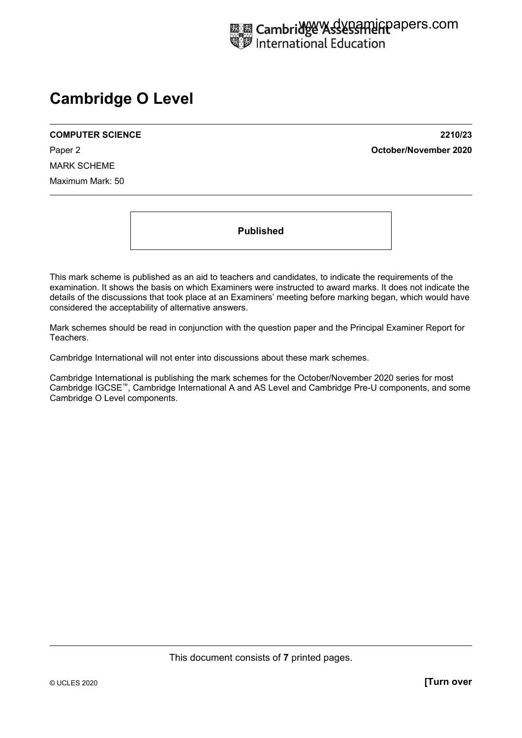# **Cambridge O Level**

**COMPUTER SCIENCE 2210/23** 

Paper 2 **October/November 2020**

MARK SCHEME Maximum Mark: 50

**Published** 

This mark scheme is published as an aid to teachers and candidates, to indicate the requirements of the examination. It shows the basis on which Examiners were instructed to award marks. It does not indicate the details of the discussions that took place at an Examiners' meeting before marking began, which would have considered the acceptability of alternative answers.

Mark schemes should be read in conjunction with the question paper and the Principal Examiner Report for Teachers.

Cambridge International will not enter into discussions about these mark schemes.

Cambridge International is publishing the mark schemes for the October/November 2020 series for most Cambridge IGCSE™, Cambridge International A and AS Level and Cambridge Pre-U components, and some Cambridge O Level components.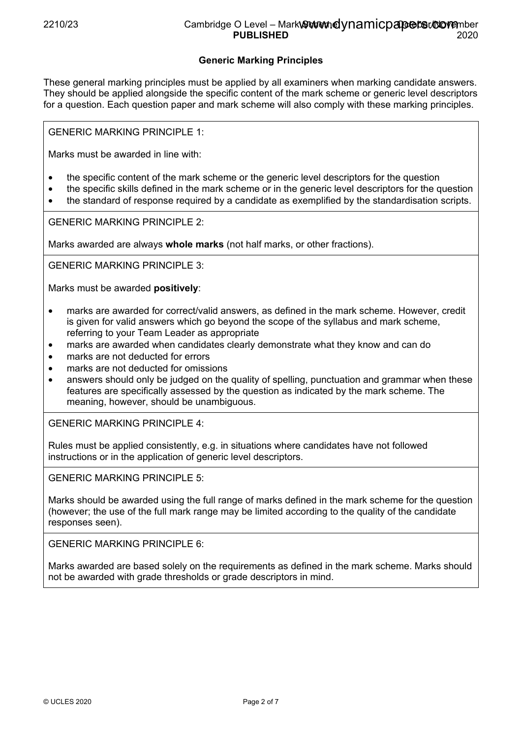## 2210/23 Cambridge O Level – Mark Gut and ynamicpapers.commber **PUBLISHED** 2020

# **Generic Marking Principles**

These general marking principles must be applied by all examiners when marking candidate answers. They should be applied alongside the specific content of the mark scheme or generic level descriptors for a question. Each question paper and mark scheme will also comply with these marking principles.

GENERIC MARKING PRINCIPLE 1:

Marks must be awarded in line with:

- the specific content of the mark scheme or the generic level descriptors for the question
- the specific skills defined in the mark scheme or in the generic level descriptors for the question
- the standard of response required by a candidate as exemplified by the standardisation scripts.

GENERIC MARKING PRINCIPLE 2:

Marks awarded are always **whole marks** (not half marks, or other fractions).

GENERIC MARKING PRINCIPLE 3:

Marks must be awarded **positively**:

- marks are awarded for correct/valid answers, as defined in the mark scheme. However, credit is given for valid answers which go beyond the scope of the syllabus and mark scheme, referring to your Team Leader as appropriate
- marks are awarded when candidates clearly demonstrate what they know and can do
- marks are not deducted for errors
- marks are not deducted for omissions
- answers should only be judged on the quality of spelling, punctuation and grammar when these features are specifically assessed by the question as indicated by the mark scheme. The meaning, however, should be unambiguous.

GENERIC MARKING PRINCIPLE 4:

Rules must be applied consistently, e.g. in situations where candidates have not followed instructions or in the application of generic level descriptors.

GENERIC MARKING PRINCIPLE 5:

Marks should be awarded using the full range of marks defined in the mark scheme for the question (however; the use of the full mark range may be limited according to the quality of the candidate responses seen).

GENERIC MARKING PRINCIPLE 6:

Marks awarded are based solely on the requirements as defined in the mark scheme. Marks should not be awarded with grade thresholds or grade descriptors in mind.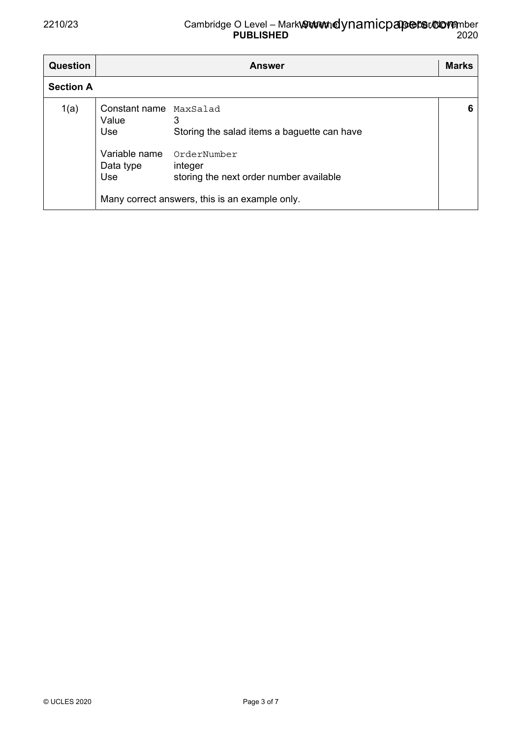| <b>Question</b>  | <b>Answer</b>                                                               |                                                                                                                                                                         |   |  |  |  |
|------------------|-----------------------------------------------------------------------------|-------------------------------------------------------------------------------------------------------------------------------------------------------------------------|---|--|--|--|
| <b>Section A</b> |                                                                             |                                                                                                                                                                         |   |  |  |  |
| 1(a)             | Constant name MaxSalad<br>Value<br>Use<br>Variable name<br>Data type<br>Use | 3<br>Storing the salad items a baguette can have<br>OrderNumber<br>integer<br>storing the next order number available<br>Many correct answers, this is an example only. | 6 |  |  |  |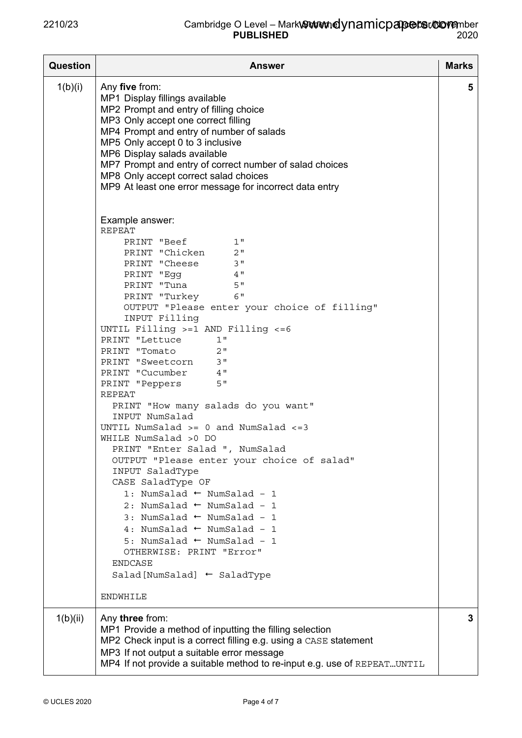| <b>Question</b> | <b>Answer</b>                                                                                                                                                                                                                                                                                                                                                                                                                                                                                                                                                                                                                                                                                                                                                                                                                                                                                                                                                       | <b>Marks</b> |
|-----------------|---------------------------------------------------------------------------------------------------------------------------------------------------------------------------------------------------------------------------------------------------------------------------------------------------------------------------------------------------------------------------------------------------------------------------------------------------------------------------------------------------------------------------------------------------------------------------------------------------------------------------------------------------------------------------------------------------------------------------------------------------------------------------------------------------------------------------------------------------------------------------------------------------------------------------------------------------------------------|--------------|
| 1(b)(i)         | Any five from:<br>MP1 Display fillings available<br>MP2 Prompt and entry of filling choice<br>MP3 Only accept one correct filling<br>MP4 Prompt and entry of number of salads<br>MP5 Only accept 0 to 3 inclusive<br>MP6 Display salads available<br>MP7 Prompt and entry of correct number of salad choices<br>MP8 Only accept correct salad choices<br>MP9 At least one error message for incorrect data entry                                                                                                                                                                                                                                                                                                                                                                                                                                                                                                                                                    | 5            |
|                 | Example answer:<br><b>REPEAT</b><br>1"<br>PRINT "Beef<br>PRINT "Chicken 2"<br>PRINT "Cheese 3"<br>PRINT "Egg 4"<br>5"<br>PRINT "Tuna<br>6"<br>PRINT "Turkey<br>OUTPUT "Please enter your choice of filling"<br>INPUT Filling<br>UNTIL Filling >=1 AND Filling <= 6<br>PRINT "Lettuce<br>1"<br>PRINT "Tomato<br>2"<br>PRINT "Sweetcorn 3"<br>PRINT "Cucumber<br>4"<br>5"<br>PRINT "Peppers<br><b>REPEAT</b><br>PRINT "How many salads do you want"<br>INPUT NumSalad<br>UNTIL NumSalad $>= 0$ and NumSalad $<= 3$<br>WHILE NumSalad >0 DO<br>PRINT "Enter Salad ", NumSalad<br>OUTPUT "Please enter your choice of salad"<br>INPUT SaladType<br>CASE SaladType OF<br>1: NumSalad $\leftarrow$ NumSalad - 1<br>2: NumSalad $\leftarrow$ NumSalad - 1<br>3: NumSalad $\leftarrow$ NumSalad - 1<br>4: NumSalad $\leftarrow$ NumSalad - 1<br>5: NumSalad ← NumSalad - 1<br>OTHERWISE: PRINT "Error"<br><b>ENDCASE</b><br>Salad [NumSalad] ← SaladType<br><b>ENDWHILE</b> |              |
| 1(b)(ii)        | Any three from:<br>MP1 Provide a method of inputting the filling selection<br>MP2 Check input is a correct filling e.g. using a CASE statement<br>MP3 If not output a suitable error message<br>MP4 If not provide a suitable method to re-input e.g. use of REPEATUNTIL                                                                                                                                                                                                                                                                                                                                                                                                                                                                                                                                                                                                                                                                                            | 3            |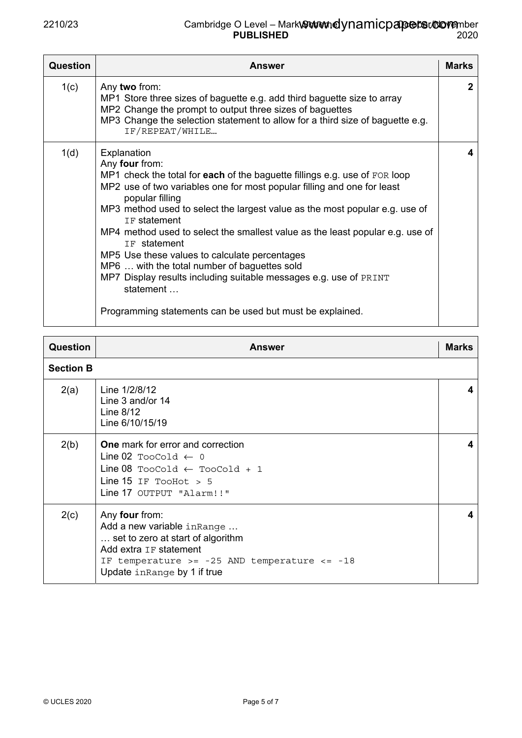| Question | <b>Answer</b>                                                                                                                                                                                                                                                                                                                                                                                                                                                                                                                                                                                                                                             | <b>Marks</b> |
|----------|-----------------------------------------------------------------------------------------------------------------------------------------------------------------------------------------------------------------------------------------------------------------------------------------------------------------------------------------------------------------------------------------------------------------------------------------------------------------------------------------------------------------------------------------------------------------------------------------------------------------------------------------------------------|--------------|
| 1(c)     | Any two from:<br>MP1 Store three sizes of baguette e.g. add third baguette size to array<br>MP2 Change the prompt to output three sizes of baguettes<br>MP3 Change the selection statement to allow for a third size of baguette e.g.<br>IF/REPEAT/WHILE                                                                                                                                                                                                                                                                                                                                                                                                  | $\mathbf{2}$ |
| 1(d)     | Explanation<br>Any four from:<br>MP1 check the total for each of the baguette fillings e.g. use of FOR loop<br>MP2 use of two variables one for most popular filling and one for least<br>popular filling<br>MP3 method used to select the largest value as the most popular e.g. use of<br>IF statement<br>MP4 method used to select the smallest value as the least popular e.g. use of<br>IF statement<br>MP5 Use these values to calculate percentages<br>MP6  with the total number of baguettes sold<br>MP7 Display results including suitable messages e.g. use of PRINT<br>statement<br>Programming statements can be used but must be explained. | 4            |

| <b>Question</b>  | <b>Answer</b>                                                                                                                                                                                    | <b>Marks</b> |
|------------------|--------------------------------------------------------------------------------------------------------------------------------------------------------------------------------------------------|--------------|
| <b>Section B</b> |                                                                                                                                                                                                  |              |
| 2(a)             | Line 1/2/8/12<br>Line 3 and/or 14<br>Line $8/12$<br>Line 6/10/15/19                                                                                                                              | 4            |
| 2(b)             | <b>One</b> mark for error and correction<br>Line 02 TooCold $\leftarrow$ 0<br>Line 08 TooCold $\leftarrow$ TooCold + 1<br>Line $15$ IF TooHot > 5<br>Line 17 OUTPUT "Alarm!!"                    | 4            |
| 2(c)             | Any four from:<br>Add a new variable in Range<br>set to zero at start of algorithm<br>Add extra IF statement<br>IF temperature >= $-25$ AND temperature <= $-18$<br>Update in Range by 1 if true | 4            |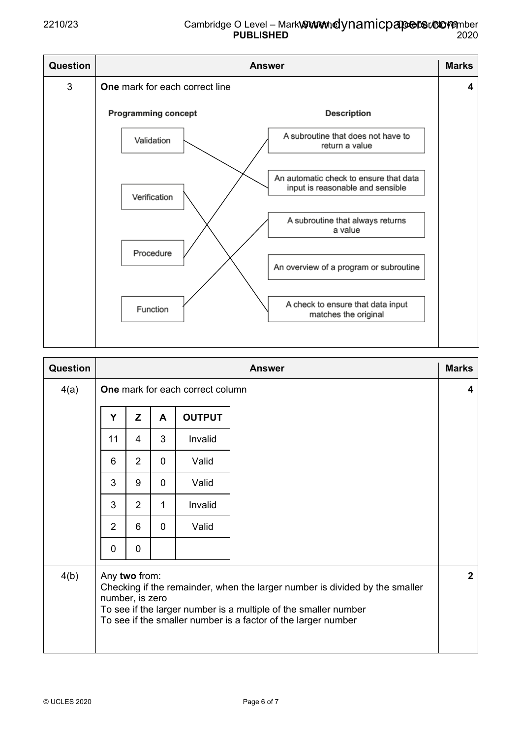### 2210/23 Cambridge O Level – Mark Gut and ynamicpapers.commber **PUBLISHED** 2020



| Question | <b>Answer</b>                                                                                                                                                                                                                                       |                |             |               |  |              |
|----------|-----------------------------------------------------------------------------------------------------------------------------------------------------------------------------------------------------------------------------------------------------|----------------|-------------|---------------|--|--------------|
| 4(a)     | One mark for each correct column                                                                                                                                                                                                                    |                |             |               |  |              |
|          | Y                                                                                                                                                                                                                                                   | Z              | A           | <b>OUTPUT</b> |  |              |
|          | 11                                                                                                                                                                                                                                                  | $\overline{4}$ | 3           | Invalid       |  |              |
|          | 6                                                                                                                                                                                                                                                   | $\overline{2}$ | $\mathbf 0$ | Valid         |  |              |
|          | 3                                                                                                                                                                                                                                                   | 9              | $\mathbf 0$ | Valid         |  |              |
|          | 3                                                                                                                                                                                                                                                   | $\overline{2}$ | 1           | Invalid       |  |              |
|          | 2                                                                                                                                                                                                                                                   | 6              | $\mathbf 0$ | Valid         |  |              |
|          | $\mathbf 0$                                                                                                                                                                                                                                         | 0              |             |               |  |              |
| 4(b)     | Any two from:<br>Checking if the remainder, when the larger number is divided by the smaller<br>number, is zero<br>To see if the larger number is a multiple of the smaller number<br>To see if the smaller number is a factor of the larger number |                |             |               |  | $\mathbf{2}$ |